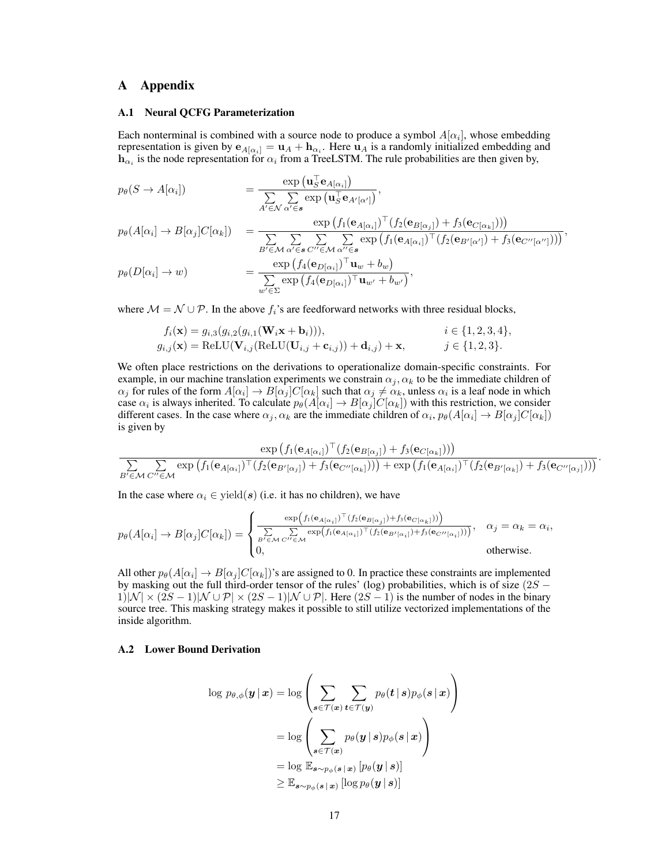# A Appendix

#### A.1 Neural QCFG Parameterization

Each nonterminal is combined with a source node to produce a symbol  $A[\alpha_i]$ , whose embedding representation is given by  $e_{A[\alpha_i]} = \mathbf{u}_A + \mathbf{h}_{\alpha_i}$ . Here  $\mathbf{u}_A$  is a randomly initialized embedding and  $\mathbf{h}_{\alpha_i}$  is the node representation for  $\alpha_i$  from a TreeLSTM. The rule probabilities are then given by,

$$
p_{\theta}(S \to A[\alpha_i]) = \frac{\exp(\mathbf{u}_{S}^{\top} \mathbf{e}_{A[\alpha_i]})}{\sum\limits_{A' \in \mathcal{N}} \sum\limits_{\alpha' \in \mathbf{s}} \exp(\mathbf{u}_{S}^{\top} \mathbf{e}_{A'[\alpha']})},
$$
  
\n
$$
p_{\theta}(A[\alpha_i] \to B[\alpha_j]C[\alpha_k]) = \frac{\exp(f_1(\mathbf{e}_{A[\alpha_i]})^{\top}(f_2(\mathbf{e}_{B[\alpha_j]}) + f_3(\mathbf{e}_{C[\alpha_k]})))}{\sum\limits_{B' \in \mathcal{M}} \sum\limits_{\alpha' \in \mathbf{s}} \sum\limits_{C'' \in \mathcal{M}} \sum\limits_{\alpha'' \in \mathbf{s}} \exp(f_1(\mathbf{e}_{A[\alpha_i]})^{\top}(f_2(\mathbf{e}_{B'[\alpha'])} + f_3(\mathbf{e}_{C''[\alpha]})))},
$$
  
\n
$$
p_{\theta}(D[\alpha_i] \to w) = \frac{\exp(f_4(\mathbf{e}_{D[\alpha_i]})^{\top} \mathbf{u}_w + b_w)}{\sum\limits_{w' \in \Sigma} \exp(f_4(\mathbf{e}_{D[\alpha_i]})^{\top} \mathbf{u}_{w'} + b_{w'})},
$$

where  $\mathcal{M} = \mathcal{N} \cup \mathcal{P}$ . In the above  $f_i$ 's are feedforward networks with three residual blocks,

$$
f_i(\mathbf{x}) = g_{i,3}(g_{i,2}(g_{i,1}(\mathbf{W}_i \mathbf{x} + \mathbf{b}_i))), \qquad i \in \{1, 2, 3, 4\},
$$
  
\n
$$
g_{i,j}(\mathbf{x}) = \text{ReLU}(\mathbf{V}_{i,j}(\text{ReLU}(\mathbf{U}_{i,j} + \mathbf{c}_{i,j})) + \mathbf{d}_{i,j}) + \mathbf{x}, \qquad j \in \{1, 2, 3\}.
$$

We often place restrictions on the derivations to operationalize domain-specific constraints. For example, in our machine translation experiments we constrain  $\alpha_i$ ,  $\alpha_k$  to be the immediate children of  $\alpha_j$  for rules of the form  $A[\alpha_i] \to B[\alpha_j]C[\alpha_k]$  such that  $\alpha_j \neq \alpha_k$ , unless  $\alpha_i$  is a leaf node in which case  $\alpha_i$  is always inherited. To calculate  $p_\theta(A[\alpha_i] \to B[\alpha_j]C[\alpha_k])$  with this restriction, we consider different cases. In the case where  $\alpha_j, \alpha_k$  are the immediate children of  $\alpha_i, p_\theta(A[\alpha_i] \to B[\alpha_j]C[\alpha_k])$ is given by

$$
\frac{\exp\left(f_1(\mathbf{e}_{A[\alpha_i]})^\top (f_2(\mathbf{e}_{B[\alpha_j]})+f_3(\mathbf{e}_{C[\alpha_k]}))\right)}{\sum\limits_{B'\in\mathcal{M}}\sum\limits_{C''\in\mathcal{M}}\exp\left(f_1(\mathbf{e}_{A[\alpha_i]})^\top (f_2(\mathbf{e}_{B'[\alpha_j]})+f_3(\mathbf{e}_{C''[\alpha_k]}))\right)+\exp\left(f_1(\mathbf{e}_{A[\alpha_i]})^\top (f_2(\mathbf{e}_{B'[\alpha_k]})+f_3(\mathbf{e}_{C''[\alpha_j]}))\right)}.
$$

In the case where  $\alpha_i \in \text{yield}(s)$  (i.e. it has no children), we have

$$
p_{\theta}(A[\alpha_i] \rightarrow B[\alpha_j]C[\alpha_k]) = \begin{cases} \frac{\exp(f_1(\mathbf{e}_{A[\alpha_i]})^{\top}(f_2(\mathbf{e}_{B[\alpha_j]}) + f_3(\mathbf{e}_{C[\alpha_k]})))}{\sum\limits_{B' \in \mathcal{M}} \sum\limits_{C'' \in \mathcal{M}} \exp(f_1(\mathbf{e}_{A[\alpha_i]})^{\top}(f_2(\mathbf{e}_{B'[\alpha_i]}) + f_3(\mathbf{e}_{C''[\alpha_i]})))}, & \alpha_j = \alpha_k = \alpha_i, \\ 0, & \text{otherwise.} \end{cases}
$$

All other  $p_\theta(A[\alpha_i] \to B[\alpha_j]C[\alpha_k])$ 's are assigned to 0. In practice these constraints are implemented by masking out the full third-order tensor of the rules' (log) probabilities, which is of size  $(2S 1)|\mathcal{N}| \times (2S-1)|\mathcal{N} \cup \mathcal{P}| \times (2S-1)|\mathcal{N} \cup \mathcal{P}|$ . Here  $(2S-1)$  is the number of nodes in the binary source tree. This masking strategy makes it possible to still utilize vectorized implementations of the inside algorithm.

### A.2 Lower Bound Derivation

$$
\log p_{\theta,\phi}(\boldsymbol{y} \,|\, \boldsymbol{x}) = \log \left( \sum_{\boldsymbol{s} \in \mathcal{T}(\boldsymbol{x})} \sum_{\boldsymbol{t} \in \mathcal{T}(\boldsymbol{y})} p_{\theta}(\boldsymbol{t} \,|\, \boldsymbol{s}) p_{\phi}(\boldsymbol{s} \,|\, \boldsymbol{x}) \right) \\ = \log \left( \sum_{\boldsymbol{s} \in \mathcal{T}(\boldsymbol{x})} p_{\theta}(\boldsymbol{y} \,|\, \boldsymbol{s}) p_{\phi}(\boldsymbol{s} \,|\, \boldsymbol{x}) \right) \\ = \log \mathbb{E}_{\boldsymbol{s} \sim p_{\phi}(\boldsymbol{s} \,|\, \boldsymbol{x})} \left[ p_{\theta}(\boldsymbol{y} \,|\, \boldsymbol{s}) \right] \\ \geq \mathbb{E}_{\boldsymbol{s} \sim p_{\phi}(\boldsymbol{s} \,|\, \boldsymbol{x})} \left[ \log p_{\theta}(\boldsymbol{y} \,|\, \boldsymbol{s}) \right] \end{aligned}
$$